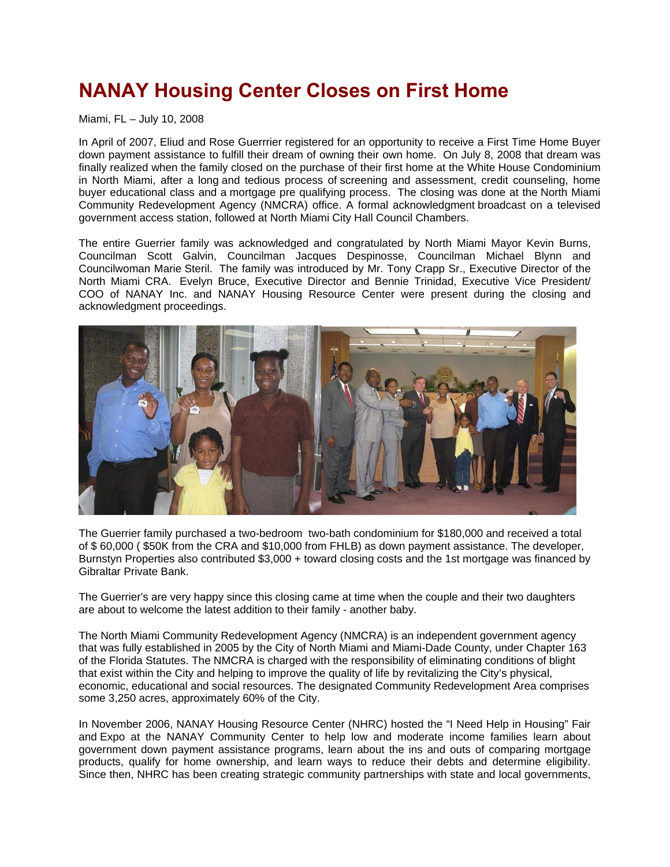## **NANAY Housing Center Closes on First Home**

Miami, FL – July 10, 2008

In April of 2007, Eliud and Rose Guerrrier registered for an opportunity to receive a First Time Home Buyer down payment assistance to fulfill their dream of owning their own home. On July 8, 2008 that dream was finally realized when the family closed on the purchase of their first home at the White House Condominium in North Miami, after a long and tedious process of screening and assessment, credit counseling, home buyer educational class and a mortgage pre qualifying process. The closing was done at the North Miami Community Redevelopment Agency (NMCRA) office. A formal acknowledgment broadcast on a televised government access station, followed at North Miami City Hall Council Chambers.

The entire Guerrier family was acknowledged and congratulated by North Miami Mayor Kevin Burns, Councilman Scott Galvin, Councilman Jacques Despinosse, Councilman Michael Blynn and Councilwoman Marie Steril. The family was introduced by Mr. Tony Crapp Sr., Executive Director of the North Miami CRA. Evelyn Bruce, Executive Director and Bennie Trinidad, Executive Vice President/ COO of NANAY Inc. and NANAY Housing Resource Center were present during the closing and acknowledgment proceedings.



The Guerrier family purchased a two-bedroom two-bath condominium for \$180,000 and received a total of \$ 60,000 ( \$50K from the CRA and \$10,000 from FHLB) as down payment assistance. The developer, Burnstyn Properties also contributed \$3,000 + toward closing costs and the 1st mortgage was financed by Gibraltar Private Bank.

The Guerrier's are very happy since this closing came at time when the couple and their two daughters are about to welcome the latest addition to their family - another baby.

The North Miami Community Redevelopment Agency (NMCRA) is an independent government agency that was fully established in 2005 by the City of North Miami and Miami-Dade County, under Chapter 163 of the Florida Statutes. The NMCRA is charged with the responsibility of eliminating conditions of blight that exist within the City and helping to improve the quality of life by revitalizing the City's physical, economic, educational and social resources. The designated Community Redevelopment Area comprises some 3,250 acres, approximately 60% of the City.

In November 2006, NANAY Housing Resource Center (NHRC) hosted the "I Need Help in Housing" Fair and Expo at the NANAY Community Center to help low and moderate income families learn about government down payment assistance programs, learn about the ins and outs of comparing mortgage products, qualify for home ownership, and learn ways to reduce their debts and determine eligibility. Since then, NHRC has been creating strategic community partnerships with state and local governments,